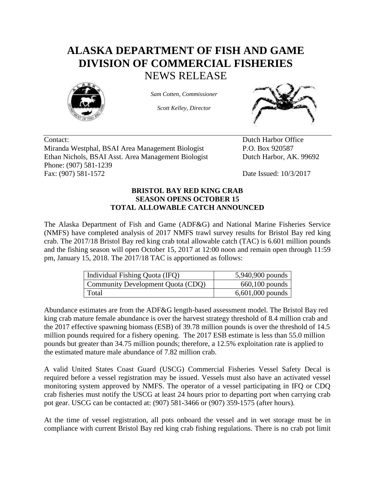## **ALASKA DEPARTMENT OF FISH AND GAME DIVISION OF COMMERCIAL FISHERIES** NEWS RELEASE



*Sam Cotten, Commissioner*

*Scott Kelley, Director*



Contact: Dutch Harbor Office Miranda Westphal, BSAI Area Management Biologist P.O. Box 920587 Ethan Nichols, BSAI Asst. Area Management Biologist Dutch Harbor, AK. 99692 Phone: (907) 581-1239 Fax: (907) 581-1572 Date Issued: 10/3/2017

## **BRISTOL BAY RED KING CRAB SEASON OPENS OCTOBER 15 TOTAL ALLOWABLE CATCH ANNOUNCED**

The Alaska Department of Fish and Game (ADF&G) and National Marine Fisheries Service (NMFS) have completed analysis of 2017 NMFS trawl survey results for Bristol Bay red king crab. The 2017/18 Bristol Bay red king crab total allowable catch (TAC) is 6.601 million pounds and the fishing season will open October 15, 2017 at 12:00 noon and remain open through 11:59 pm, January 15, 2018. The 2017/18 TAC is apportioned as follows:

| Individual Fishing Quota (IFQ)    | 5,940,900 pounds   |
|-----------------------------------|--------------------|
| Community Development Quota (CDQ) | $660,100$ pounds   |
| Total                             | $6,601,000$ pounds |

Abundance estimates are from the ADF&G length-based assessment model. The Bristol Bay red king crab mature female abundance is over the harvest strategy threshold of 8.4 million crab and the 2017 effective spawning biomass (ESB) of 39.78 million pounds is over the threshold of 14.5 million pounds required for a fishery opening. The 2017 ESB estimate is less than 55.0 million pounds but greater than 34.75 million pounds; therefore, a 12.5% exploitation rate is applied to the estimated mature male abundance of 7.82 million crab.

A valid United States Coast Guard (USCG) Commercial Fisheries Vessel Safety Decal is required before a vessel registration may be issued. Vessels must also have an activated vessel monitoring system approved by NMFS. The operator of a vessel participating in IFQ or CDQ crab fisheries must notify the USCG at least 24 hours prior to departing port when carrying crab pot gear. USCG can be contacted at: (907) 581-3466 or (907) 359-1575 (after hours).

At the time of vessel registration, all pots onboard the vessel and in wet storage must be in compliance with current Bristol Bay red king crab fishing regulations. There is no crab pot limit